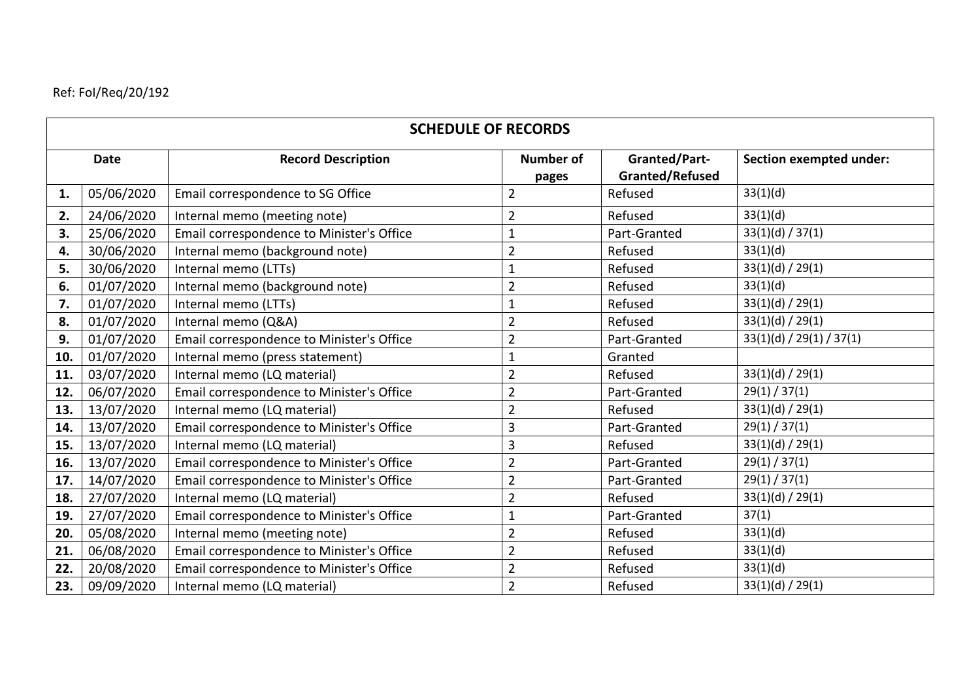## Ref: FoI/Req/20/192

| <b>SCHEDULE OF RECORDS</b> |            |                                           |                           |                                                |                                |  |  |  |  |
|----------------------------|------------|-------------------------------------------|---------------------------|------------------------------------------------|--------------------------------|--|--|--|--|
| <b>Date</b>                |            | <b>Record Description</b>                 | <b>Number of</b><br>pages | <b>Granted/Part-</b><br><b>Granted/Refused</b> | <b>Section exempted under:</b> |  |  |  |  |
| 1.                         | 05/06/2020 | Email correspondence to SG Office         | $\overline{2}$            | Refused                                        | 33(1)(d)                       |  |  |  |  |
| 2.                         | 24/06/2020 | Internal memo (meeting note)              | $\overline{2}$            | Refused                                        | 33(1)(d)                       |  |  |  |  |
| 3.                         | 25/06/2020 | Email correspondence to Minister's Office | $\mathbf{1}$              | Part-Granted                                   | 33(1)(d) / 37(1)               |  |  |  |  |
| 4.                         | 30/06/2020 | Internal memo (background note)           | $\overline{2}$            | Refused                                        | 33(1)(d)                       |  |  |  |  |
| 5.                         | 30/06/2020 | Internal memo (LTTs)                      | $\mathbf{1}$              | Refused                                        | 33(1)(d) / 29(1)               |  |  |  |  |
| 6.                         | 01/07/2020 | Internal memo (background note)           | $\overline{2}$            | Refused                                        | 33(1)(d)                       |  |  |  |  |
| 7.                         | 01/07/2020 | Internal memo (LTTs)                      | $\mathbf{1}$              | Refused                                        | 33(1)(d) / 29(1)               |  |  |  |  |
| 8.                         | 01/07/2020 | Internal memo (Q&A)                       | $\overline{2}$            | Refused                                        | 33(1)(d) / 29(1)               |  |  |  |  |
| 9.                         | 01/07/2020 | Email correspondence to Minister's Office | $\overline{2}$            | Part-Granted                                   | 33(1)(d) / 29(1) / 37(1)       |  |  |  |  |
| 10.                        | 01/07/2020 | Internal memo (press statement)           | $\mathbf{1}$              | Granted                                        |                                |  |  |  |  |
| 11.                        | 03/07/2020 | Internal memo (LQ material)               | $\overline{2}$            | Refused                                        | 33(1)(d) / 29(1)               |  |  |  |  |
| 12.                        | 06/07/2020 | Email correspondence to Minister's Office | $\overline{2}$            | Part-Granted                                   | 29(1)/37(1)                    |  |  |  |  |
| 13.                        | 13/07/2020 | Internal memo (LQ material)               | $\overline{2}$            | Refused                                        | 33(1)(d) / 29(1)               |  |  |  |  |
| 14.                        | 13/07/2020 | Email correspondence to Minister's Office | 3                         | Part-Granted                                   | 29(1)/37(1)                    |  |  |  |  |
| 15.                        | 13/07/2020 | Internal memo (LQ material)               | 3                         | Refused                                        | 33(1)(d) / 29(1)               |  |  |  |  |
| 16.                        | 13/07/2020 | Email correspondence to Minister's Office | $\overline{2}$            | Part-Granted                                   | 29(1)/37(1)                    |  |  |  |  |
| 17.                        | 14/07/2020 | Email correspondence to Minister's Office | $\overline{2}$            | Part-Granted                                   | 29(1)/37(1)                    |  |  |  |  |
| 18.                        | 27/07/2020 | Internal memo (LQ material)               | $\overline{2}$            | Refused                                        | 33(1)(d) / 29(1)               |  |  |  |  |
| 19.                        | 27/07/2020 | Email correspondence to Minister's Office | $\mathbf{1}$              | Part-Granted                                   | 37(1)                          |  |  |  |  |
| 20.                        | 05/08/2020 | Internal memo (meeting note)              | $\overline{2}$            | Refused                                        | 33(1)(d)                       |  |  |  |  |
| 21.                        | 06/08/2020 | Email correspondence to Minister's Office | $\overline{2}$            | Refused                                        | 33(1)(d)                       |  |  |  |  |
| 22.                        | 20/08/2020 | Email correspondence to Minister's Office | $\overline{2}$            | Refused                                        | 33(1)(d)                       |  |  |  |  |
| 23.                        | 09/09/2020 | Internal memo (LQ material)               | $\overline{2}$            | Refused                                        | 33(1)(d) / 29(1)               |  |  |  |  |